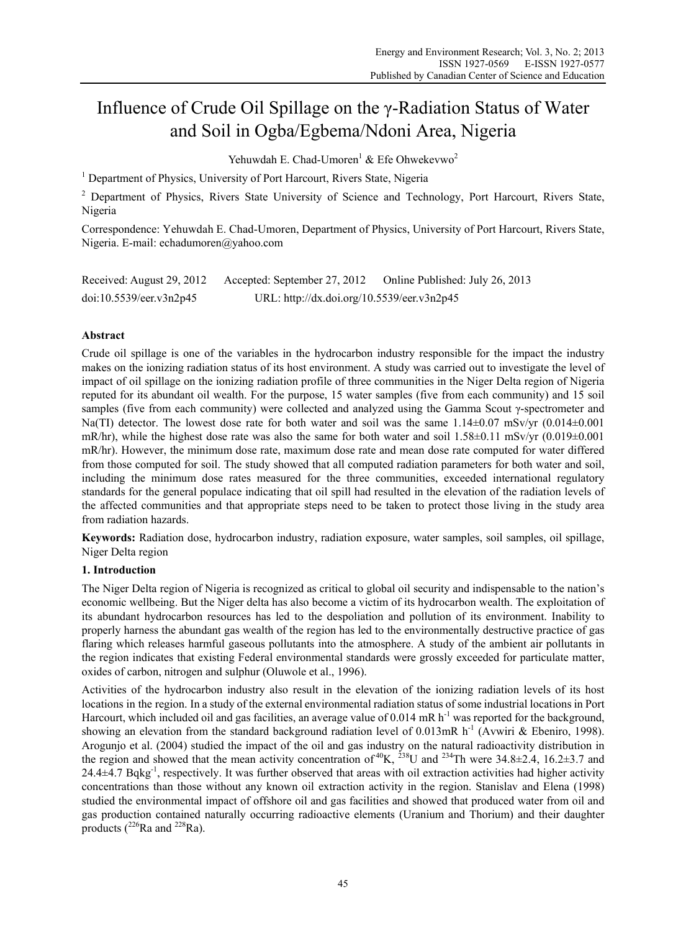# Influence of Crude Oil Spillage on the γ-Radiation Status of Water and Soil in Ogba/Egbema/Ndoni Area, Nigeria

Yehuwdah E. Chad-Umoren<sup>1</sup> & Efe Ohwekevwo<sup>2</sup>

<sup>1</sup> Department of Physics, University of Port Harcourt, Rivers State, Nigeria

<sup>2</sup> Department of Physics, Rivers State University of Science and Technology, Port Harcourt, Rivers State, Nigeria

Correspondence: Yehuwdah E. Chad-Umoren, Department of Physics, University of Port Harcourt, Rivers State, Nigeria. E-mail: echadumoren@yahoo.com

| Received: August 29, 2012 | Accepted: September 27, 2012               | Online Published: July 26, 2013 |
|---------------------------|--------------------------------------------|---------------------------------|
| doi:10.5539/eer.v3n2p45   | URL: http://dx.doi.org/10.5539/eer.v3n2p45 |                                 |

# **Abstract**

Crude oil spillage is one of the variables in the hydrocarbon industry responsible for the impact the industry makes on the ionizing radiation status of its host environment. A study was carried out to investigate the level of impact of oil spillage on the ionizing radiation profile of three communities in the Niger Delta region of Nigeria reputed for its abundant oil wealth. For the purpose, 15 water samples (five from each community) and 15 soil samples (five from each community) were collected and analyzed using the Gamma Scout γ-spectrometer and Na(TI) detector. The lowest dose rate for both water and soil was the same  $1.14\pm0.07$  mSv/yr (0.014 $\pm0.001$ ) mR/hr), while the highest dose rate was also the same for both water and soil  $1.58\pm0.11$  mSv/yr (0.019 $\pm0.001$ ) mR/hr). However, the minimum dose rate, maximum dose rate and mean dose rate computed for water differed from those computed for soil. The study showed that all computed radiation parameters for both water and soil, including the minimum dose rates measured for the three communities, exceeded international regulatory standards for the general populace indicating that oil spill had resulted in the elevation of the radiation levels of the affected communities and that appropriate steps need to be taken to protect those living in the study area from radiation hazards.

**Keywords:** Radiation dose, hydrocarbon industry, radiation exposure, water samples, soil samples, oil spillage, Niger Delta region

# **1. Introduction**

The Niger Delta region of Nigeria is recognized as critical to global oil security and indispensable to the nation's economic wellbeing. But the Niger delta has also become a victim of its hydrocarbon wealth. The exploitation of its abundant hydrocarbon resources has led to the despoliation and pollution of its environment. Inability to properly harness the abundant gas wealth of the region has led to the environmentally destructive practice of gas flaring which releases harmful gaseous pollutants into the atmosphere. A study of the ambient air pollutants in the region indicates that existing Federal environmental standards were grossly exceeded for particulate matter, oxides of carbon, nitrogen and sulphur (Oluwole et al., 1996).

Activities of the hydrocarbon industry also result in the elevation of the ionizing radiation levels of its host locations in the region. In a study of the external environmental radiation status of some industrial locations in Port Harcourt, which included oil and gas facilities, an average value of  $0.014$  mR h<sup>-1</sup> was reported for the background, showing an elevation from the standard background radiation level of 0.013mR  $h^{-1}$  (Avwiri & Ebeniro, 1998). Arogunjo et al. (2004) studied the impact of the oil and gas industry on the natural radioactivity distribution in the region and showed that the mean activity concentration of  $^{40}$ K,  $^{238}$ U and  $^{234}$ Th were 34.8±2.4, 16.2±3.7 and  $24.4\pm4.7$  Bqkg<sup>-1</sup>, respectively. It was further observed that areas with oil extraction activities had higher activity concentrations than those without any known oil extraction activity in the region. Stanislav and Elena (1998) studied the environmental impact of offshore oil and gas facilities and showed that produced water from oil and gas production contained naturally occurring radioactive elements (Uranium and Thorium) and their daughter products  $(^{226}Ra$  and  $^{228}Ra$ ).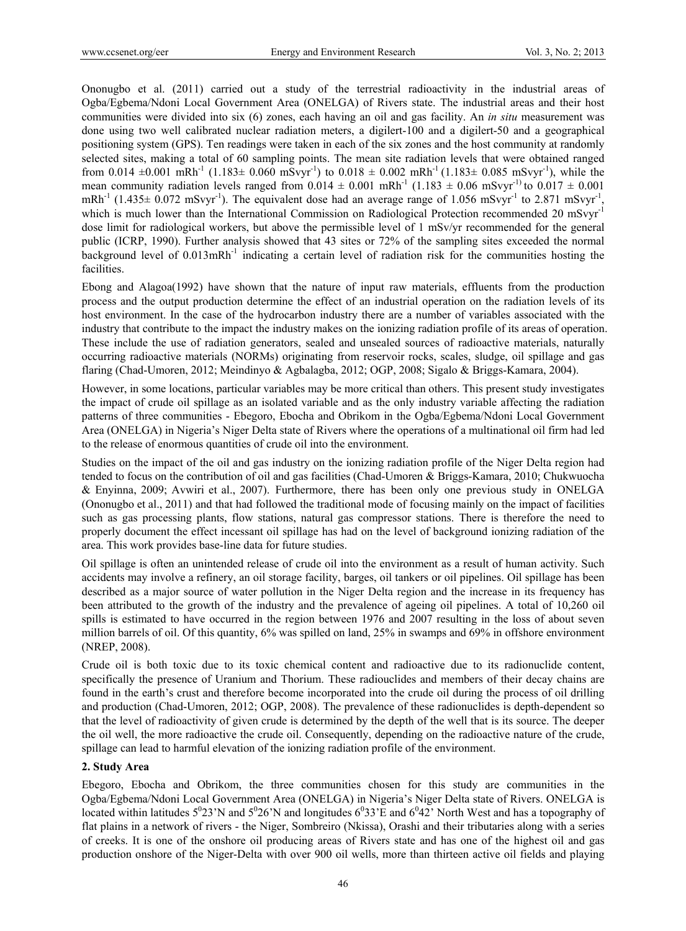Ononugbo et al. (2011) carried out a study of the terrestrial radioactivity in the industrial areas of Ogba/Egbema/Ndoni Local Government Area (ONELGA) of Rivers state. The industrial areas and their host communities were divided into six (6) zones, each having an oil and gas facility. An *in situ* measurement was done using two well calibrated nuclear radiation meters, a digilert-100 and a digilert-50 and a geographical positioning system (GPS). Ten readings were taken in each of the six zones and the host community at randomly selected sites, making a total of 60 sampling points. The mean site radiation levels that were obtained ranged from 0.014  $\pm$ 0.001 mRh<sup>-1</sup> (1.183 $\pm$  0.060 mSvyr<sup>-1</sup>) to 0.018  $\pm$  0.002 mRh<sup>-1</sup> (1.183 $\pm$  0.085 mSvyr<sup>-1</sup>), while the mean community radiation levels ranged from  $0.014 \pm 0.001$  mRh<sup>-1</sup> (1.183  $\pm$  0.06 mSvyr<sup>-1)</sup> to 0.017  $\pm$  0.001 mRh<sup>-1</sup> (1.435 $\pm$  0.072 mSvyr<sup>-1</sup>). The equivalent dose had an average range of 1.056 mSvyr<sup>-1</sup> to 2.871 mSvyr<sup>-1</sup>, which is much lower than the International Commission on Radiological Protection recommended 20 mSvyr<sup>-1</sup> dose limit for radiological workers, but above the permissible level of 1 mSv/yr recommended for the general public (ICRP, 1990). Further analysis showed that 43 sites or 72% of the sampling sites exceeded the normal background level of 0.013mRh-1 indicating a certain level of radiation risk for the communities hosting the facilities.

Ebong and Alagoa(1992) have shown that the nature of input raw materials, effluents from the production process and the output production determine the effect of an industrial operation on the radiation levels of its host environment. In the case of the hydrocarbon industry there are a number of variables associated with the industry that contribute to the impact the industry makes on the ionizing radiation profile of its areas of operation. These include the use of radiation generators, sealed and unsealed sources of radioactive materials, naturally occurring radioactive materials (NORMs) originating from reservoir rocks, scales, sludge, oil spillage and gas flaring (Chad-Umoren, 2012; Meindinyo & Agbalagba, 2012; OGP, 2008; Sigalo & Briggs-Kamara, 2004).

However, in some locations, particular variables may be more critical than others. This present study investigates the impact of crude oil spillage as an isolated variable and as the only industry variable affecting the radiation patterns of three communities - Ebegoro, Ebocha and Obrikom in the Ogba/Egbema/Ndoni Local Government Area (ONELGA) in Nigeria's Niger Delta state of Rivers where the operations of a multinational oil firm had led to the release of enormous quantities of crude oil into the environment.

Studies on the impact of the oil and gas industry on the ionizing radiation profile of the Niger Delta region had tended to focus on the contribution of oil and gas facilities (Chad-Umoren & Briggs-Kamara, 2010; Chukwuocha & Enyinna, 2009; Avwiri et al., 2007). Furthermore, there has been only one previous study in ONELGA (Ononugbo et al., 2011) and that had followed the traditional mode of focusing mainly on the impact of facilities such as gas processing plants, flow stations, natural gas compressor stations. There is therefore the need to properly document the effect incessant oil spillage has had on the level of background ionizing radiation of the area. This work provides base-line data for future studies.

Oil spillage is often an unintended release of crude oil into the environment as a result of human activity. Such accidents may involve a refinery, an oil storage facility, barges, oil tankers or oil pipelines. Oil spillage has been described as a major source of water pollution in the Niger Delta region and the increase in its frequency has been attributed to the growth of the industry and the prevalence of ageing oil pipelines. A total of 10,260 oil spills is estimated to have occurred in the region between 1976 and 2007 resulting in the loss of about seven million barrels of oil. Of this quantity, 6% was spilled on land, 25% in swamps and 69% in offshore environment (NREP, 2008).

Crude oil is both toxic due to its toxic chemical content and radioactive due to its radionuclide content, specifically the presence of Uranium and Thorium. These radiouclides and members of their decay chains are found in the earth's crust and therefore become incorporated into the crude oil during the process of oil drilling and production (Chad-Umoren, 2012; OGP, 2008). The prevalence of these radionuclides is depth-dependent so that the level of radioactivity of given crude is determined by the depth of the well that is its source. The deeper the oil well, the more radioactive the crude oil. Consequently, depending on the radioactive nature of the crude, spillage can lead to harmful elevation of the ionizing radiation profile of the environment.

# **2. Study Area**

Ebegoro, Ebocha and Obrikom, the three communities chosen for this study are communities in the Ogba/Egbema/Ndoni Local Government Area (ONELGA) in Nigeria's Niger Delta state of Rivers. ONELGA is located within latitudes  $5^023'N$  and  $5^026'N$  and longitudes  $6^033'E$  and  $6^042'N$  North West and has a topography of flat plains in a network of rivers - the Niger, Sombreiro (Nkissa), Orashi and their tributaries along with a series of creeks. It is one of the onshore oil producing areas of Rivers state and has one of the highest oil and gas production onshore of the Niger-Delta with over 900 oil wells, more than thirteen active oil fields and playing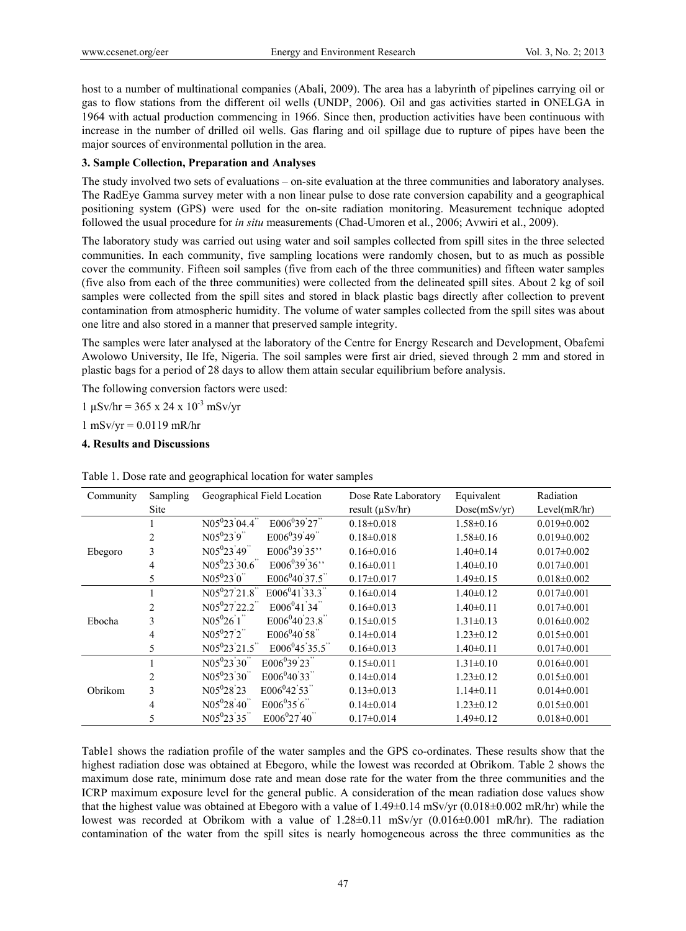host to a number of multinational companies (Abali, 2009). The area has a labyrinth of pipelines carrying oil or gas to flow stations from the different oil wells (UNDP, 2006). Oil and gas activities started in ONELGA in 1964 with actual production commencing in 1966. Since then, production activities have been continuous with increase in the number of drilled oil wells. Gas flaring and oil spillage due to rupture of pipes have been the major sources of environmental pollution in the area.

### **3. Sample Collection, Preparation and Analyses**

The study involved two sets of evaluations – on-site evaluation at the three communities and laboratory analyses. The RadEye Gamma survey meter with a non linear pulse to dose rate conversion capability and a geographical positioning system (GPS) were used for the on-site radiation monitoring. Measurement technique adopted followed the usual procedure for *in situ* measurements (Chad-Umoren et al., 2006; Avwiri et al., 2009).

The laboratory study was carried out using water and soil samples collected from spill sites in the three selected communities. In each community, five sampling locations were randomly chosen, but to as much as possible cover the community. Fifteen soil samples (five from each of the three communities) and fifteen water samples (five also from each of the three communities) were collected from the delineated spill sites. About 2 kg of soil samples were collected from the spill sites and stored in black plastic bags directly after collection to prevent contamination from atmospheric humidity. The volume of water samples collected from the spill sites was about one litre and also stored in a manner that preserved sample integrity.

The samples were later analysed at the laboratory of the Centre for Energy Research and Development, Obafemi Awolowo University, Ile Ife, Nigeria. The soil samples were first air dried, sieved through 2 mm and stored in plastic bags for a period of 28 days to allow them attain secular equilibrium before analysis.

The following conversion factors were used:

 $1 \mu$ Sv/hr = 365 x 24 x  $10^{-3}$  mSv/yr

 $1 \text{ mSv/yr} = 0.0119 \text{ mR/hr}$ 

#### **4. Results and Discussions**

| Community | Sampling       | Geographical Field Location                                    | Dose Rate Laboratory | Equivalent      | Radiation         |
|-----------|----------------|----------------------------------------------------------------|----------------------|-----------------|-------------------|
|           | <b>Site</b>    |                                                                | result $(\mu Sv/hr)$ | Dose(mSv/yr)    | Level(mR/hr)      |
|           |                | E006°39'27"<br>$N05^{0}23'04.4"$                               | $0.18 \pm 0.018$     | $1.58 \pm 0.16$ | $0.019 \pm 0.002$ |
|           | $\overline{c}$ | $N05^{0}23'9''$<br>$E006^{0}39^{4}9$                           | $0.18 \pm 0.018$     | $1.58 \pm 0.16$ | $0.019 \pm 0.002$ |
| Ebegoro   | 3              | N05 <sup>0</sup> 23 <sup>'49"</sup><br>$E006^{0}39^{3}35"$     | $0.16 \pm 0.016$     | $1.40 \pm 0.14$ | $0.017 \pm 0.002$ |
|           | 4              | $E006^{0}39^{3}6$<br>$N05^{0}23^{2}30.6^{7}$                   | $0.16 \pm 0.011$     | $1.40 \pm 0.10$ | $0.017 \pm 0.001$ |
|           | 5              | $N05^{0}23'0''$<br>$E006^{0}40^{3}37.5$ "                      | $0.17 \pm 0.017$     | $1.49 \pm 0.15$ | $0.018 \pm 0.002$ |
| Ebocha    |                | N05 <sup>0</sup> 27 <sup>'21.8</sup><br>$E006^{0}41^{3}33.3$ " | $0.16 \pm 0.014$     | $1.40 \pm 0.12$ | $0.017 \pm 0.001$ |
|           | 2              | $N05^{0}27^{2}22.2^{7}$<br>$E006^{0}41^{3}4$                   | $0.16 \pm 0.013$     | $1.40 \pm 0.11$ | $0.017 \pm 0.001$ |
|           | 3              | $N05^{0}26'1'$<br>$E006^{0}40^{2}3.8$                          | $0.15 \pm 0.015$     | $1.31 \pm 0.13$ | $0.016 \pm 0.002$ |
|           | $\overline{4}$ | $N05^{0}27^{2}$<br>$E006^{0}40^{3}58$ "                        | $0.14 \pm 0.014$     | $1.23 \pm 0.12$ | $0.015 \pm 0.001$ |
|           | 5              | $N05^{0}23^{2}1.5$<br>$E006^{0}45^{3}35.5$                     | $0.16 \pm 0.013$     | $1.40 \pm 0.11$ | $0.017 \pm 0.001$ |
| Obrikom   |                | $N05^{0}23'30'$<br>$E006^{0}39^{2}3'$                          | $0.15 \pm 0.011$     | $1.31 \pm 0.10$ | $0.016 \pm 0.001$ |
|           | $\overline{c}$ | $N05^{0}23'30"$<br>$E006^{0}40^{3}33$                          | $0.14 \pm 0.014$     | $1.23 \pm 0.12$ | $0.015 \pm 0.001$ |
|           | 3              | N05 <sup>0</sup> 28 <sup>'23</sup><br>$E006^{0}42^{7}53$       | $0.13 \pm 0.013$     | $1.14\pm0.11$   | $0.014 \pm 0.001$ |
|           | 4              | $N05^{0}28'40''$<br>$E006^{0}35'6''$                           | $0.14 \pm 0.014$     | $1.23 \pm 0.12$ | $0.015 \pm 0.001$ |
|           | 5              | N05 <sup>0</sup> 23'35"<br>$E006^{0}27'40''$                   | $0.17 \pm 0.014$     | $1.49 \pm 0.12$ | $0.018 \pm 0.001$ |

Table 1. Dose rate and geographical location for water samples

Table1 shows the radiation profile of the water samples and the GPS co-ordinates. These results show that the highest radiation dose was obtained at Ebegoro, while the lowest was recorded at Obrikom. Table 2 shows the maximum dose rate, minimum dose rate and mean dose rate for the water from the three communities and the ICRP maximum exposure level for the general public. A consideration of the mean radiation dose values show that the highest value was obtained at Ebegoro with a value of 1.49±0.14 mSv/yr (0.018±0.002 mR/hr) while the lowest was recorded at Obrikom with a value of 1.28±0.11 mSv/yr (0.016±0.001 mR/hr). The radiation contamination of the water from the spill sites is nearly homogeneous across the three communities as the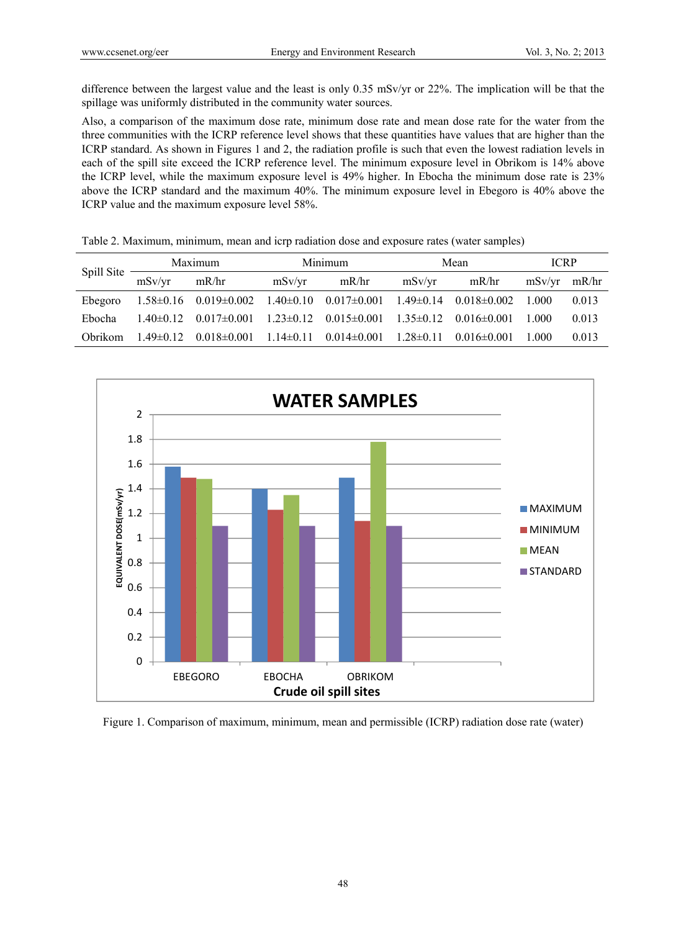difference between the largest value and the least is only 0.35 mSv/yr or 22%. The implication will be that the spillage was uniformly distributed in the community water sources.

Also, a comparison of the maximum dose rate, minimum dose rate and mean dose rate for the water from the three communities with the ICRP reference level shows that these quantities have values that are higher than the ICRP standard. As shown in Figures 1 and 2, the radiation profile is such that even the lowest radiation levels in each of the spill site exceed the ICRP reference level. The minimum exposure level in Obrikom is 14% above the ICRP level, while the maximum exposure level is 49% higher. In Ebocha the minimum dose rate is 23% above the ICRP standard and the maximum 40%. The minimum exposure level in Ebegoro is 40% above the ICRP value and the maximum exposure level 58%.

Table 2. Maximum, minimum, mean and icrp radiation dose and exposure rates (water samples)

| Spill Site | Maximum      |                                                                                                     | Minimum         |                                   | Mean            |                   | <b>ICRP</b> |       |
|------------|--------------|-----------------------------------------------------------------------------------------------------|-----------------|-----------------------------------|-----------------|-------------------|-------------|-------|
|            | mSv/vr       | mR/hr                                                                                               | mSv/vr          | mR/hr                             | mSv/vr          | mR/hr             | mSv/vr      | mR/hr |
| Ebegoro    |              | $1.58\pm0.16$ 0.019 $\pm$ 0.002 1.40 $\pm$ 0.10 0.017 $\pm$ 0.001 1.49 $\pm$ 0.14 0.018 $\pm$ 0.002 |                 |                                   |                 |                   | 1.000       | 0.013 |
| Ebocha     | $140\pm0.12$ | $0.017 \pm 0.001$                                                                                   |                 | $1.23 \pm 0.12$ $0.015 \pm 0.001$ | $1.35 \pm 0.12$ | $0.016 \pm 0.001$ | 1.000       | 0.013 |
| Obrikom    | $149\pm0.12$ | $0.018 \pm 0.001$                                                                                   | $1.14 \pm 0.11$ | $0.014 \pm 0.001$                 | $1.28 \pm 0.11$ | $0.016 \pm 0.001$ | 1 000       | 0.013 |



Figure 1. Comparison of maximum, minimum, mean and permissible (ICRP) radiation dose rate (water)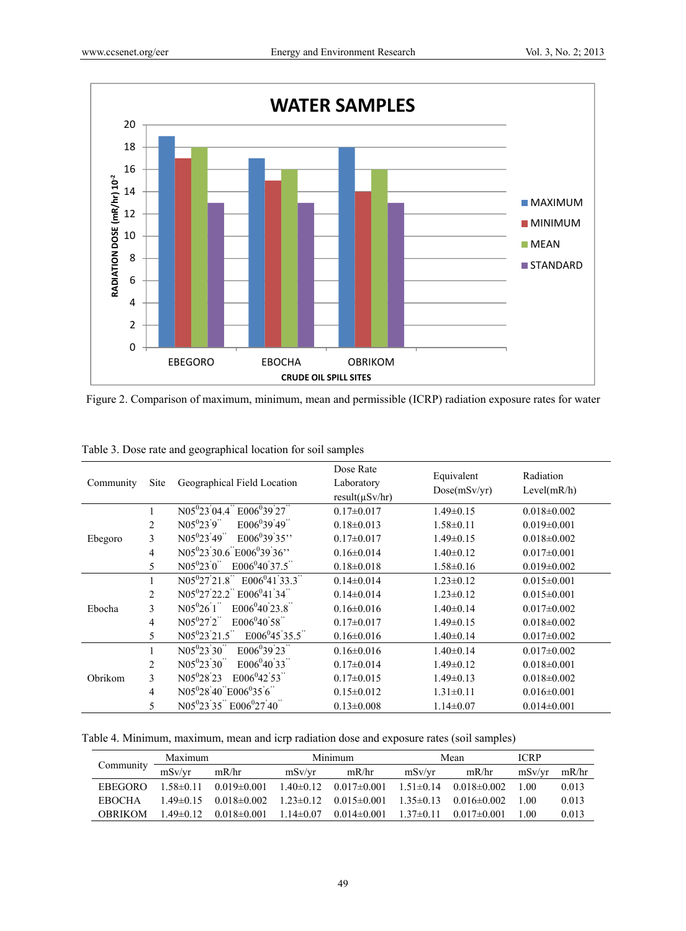

Figure 2. Comparison of maximum, minimum, mean and permissible (ICRP) radiation exposure rates for water

| Site<br>Community |                | Geographical Field Location                                          | Dose Rate<br>Laboratory<br>$result(\mu Sv/hr)$ | Equivalent<br>Dose(mSv/yr) | Radiation<br>Level(mR/h) |
|-------------------|----------------|----------------------------------------------------------------------|------------------------------------------------|----------------------------|--------------------------|
|                   |                | N05°23'04.4" E006°39'27"                                             | $0.17 \pm 0.017$                               | $1.49 \pm 0.15$            | $0.018 \pm 0.002$        |
|                   | 2              | $N05^{0}23^{9}$<br>$E006^{0}39'49''$                                 | $0.18 \pm 0.013$                               | $1.58 \pm 0.11$            | $0.019 \pm 0.001$        |
| Ebegoro           | 3              | $E006^{0}39^{3}35"$<br>$N05^{0}23'49''$                              | $0.17 \pm 0.017$                               | $1.49 \pm 0.15$            | $0.018 \pm 0.002$        |
|                   | 4              | $N05^{0}23^{3}30.6^{6}E006^{0}39^{3}36"$                             | $0.16 \pm 0.014$                               | $1.40 \pm 0.12$            | $0.017 \pm 0.001$        |
|                   | 5              | $E006^{0}40^{3}37.5$<br>$N05^{0}23'0''$                              | $0.18 \pm 0.018$                               | $1.58 \pm 0.16$            | $0.019 \pm 0.002$        |
|                   |                | $E006^{0}41^{3}33.3$<br>$N05^{0}27^{'}21.8^{''}$                     | $0.14 \pm 0.014$                               | $1.23 \pm 0.12$            | $0.015 \pm 0.001$        |
|                   | 2              | $N05^{0}27^{2}22.2^{7}E006^{0}41^{3}34^{7}$                          | $0.14 \pm 0.014$                               | $1.23 \pm 0.12$            | $0.015 \pm 0.001$        |
| Ebocha            | 3              | $E006^{0}40^{2}3.8$<br>$N05^{0}261^{7}$                              | $0.16 \pm 0.016$                               | $1.40 \pm 0.14$            | $0.017\pm0.002$          |
|                   | 4              | $E006^{0}40^{3}58$<br>$N05^{0}27^{2}$                                | $0.17 \pm 0.017$                               | $1.49 \pm 0.15$            | $0.018 \pm 0.002$        |
|                   | 5              | $E006^{0}45^{3}35.5$<br>$N05^{0}23^{2}1.5^{7}$                       | $0.16 \pm 0.016$                               | $1.40 \pm 0.14$            | $0.017 \pm 0.002$        |
| Obrikom           | $\mathbf{1}$   | $N05^{0}23'30"$<br>$E006^{0}39^{2}3^{7}$                             | $0.16 \pm 0.016$                               | $1.40 \pm 0.14$            | $0.017 \pm 0.002$        |
|                   | $\overline{c}$ | $N05^{0}23'30"$<br>$E006^{0}40^{3}33$                                | $0.17 \pm 0.014$                               | $1.49 \pm 0.12$            | $0.018 \pm 0.001$        |
|                   | 3              | $E006^{0}42^{2}53$<br>$N05^{0}28^{2}3$                               | $0.17 \pm 0.015$                               | $1.49 \pm 0.13$            | $0.018 \pm 0.002$        |
|                   | 4              | $N05^{0}28'40''E006^{0}35'6''$                                       | $0.15 \pm 0.012$                               | $1.31 \pm 0.11$            | $0.016 \pm 0.001$        |
|                   | 5              | $N05^{0}23^{2}35"$ E006 <sup>0</sup> 27 <sup>2</sup> 40 <sup>"</sup> | $0.13 \pm 0.008$                               | $1.14 \pm 0.07$            | $0.014 \pm 0.001$        |

Table 3. Dose rate and geographical location for soil samples

Table 4. Minimum, maximum, mean and icrp radiation dose and exposure rates (soil samples)

| Community $\frac{mSv/yr}{mSv/yr}$ mR/hr | Maximum         |                                                                           | Minimum |       | Mean          |                        | <b>ICRP</b>      |       |
|-----------------------------------------|-----------------|---------------------------------------------------------------------------|---------|-------|---------------|------------------------|------------------|-------|
|                                         |                 |                                                                           | mSv/yr  | mR/hr | mSv/vr        | mR/hr                  | $mSv/yr$ $mR/hr$ |       |
| EBEGORO                                 |                 | $1.58\pm0.11$ $0.019\pm0.001$ $1.40\pm0.12$ $0.017\pm0.001$ $1.51\pm0.14$ |         |       |               | $0.018 \pm 0.002$ 1.00 |                  | 0.013 |
| <b>EBOCHA</b>                           |                 | $1.49\pm0.15$ $0.018\pm0.002$ $1.23\pm0.12$ $0.015\pm0.001$ $1.35\pm0.13$ |         |       |               | 0.016±0.002            | - 1.00           | 0.013 |
| OBRIKOM                                 | $1.49 \pm 0.12$ | $0.018 \pm 0.001$ $1.14 \pm 0.07$ $0.014 \pm 0.001$                       |         |       | $1.37\pm0.11$ | $0.017 \pm 0.001$      | -1.00            | 0.013 |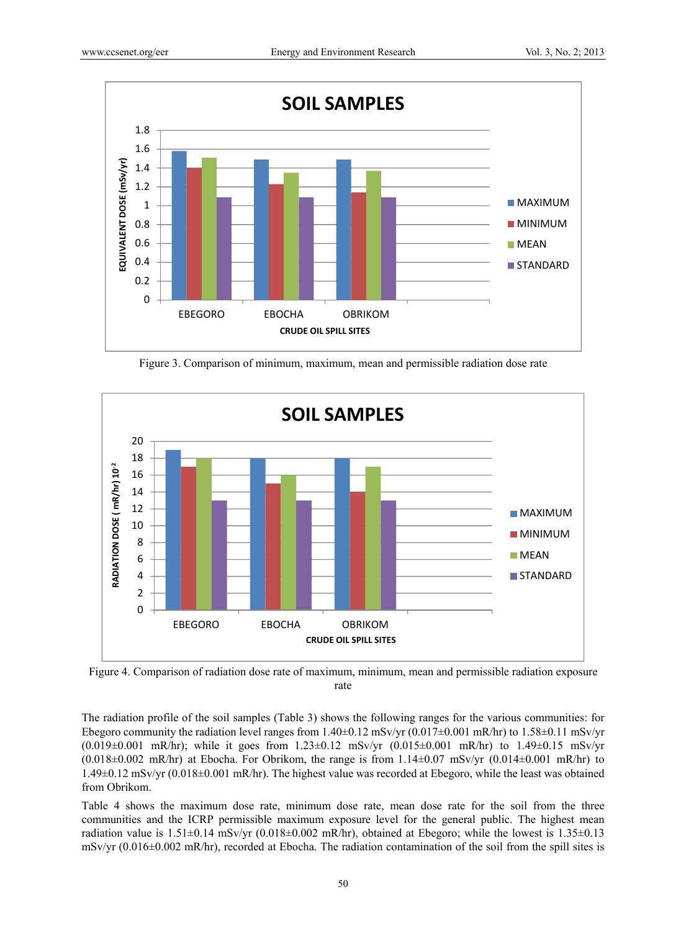

Figure 3. Comparison of minimum, maximum, mean and permissible radiation dose rate



Figure 4. Comparison of radiation dose rate of maximum, minimum, mean and permissible radiation exposure rate

The radiation profile of the soil samples (Table 3) shows the following ranges for the various communities: for Ebegoro community the radiation level ranges from  $1.40\pm0.12$  mSv/yr (0.017 $\pm$ 0.001 mR/hr) to  $1.58\pm0.11$  mSv/yr  $(0.019\pm0.001 \text{ mR/hr})$ ; while it goes from 1.23 $\pm$ 0.12 mSv/yr  $(0.015\pm0.001 \text{ mR/hr})$  to 1.49 $\pm$ 0.15 mSv/yr  $(0.018\pm0.002 \text{ mR/hr})$  at Ebocha. For Obrikom, the range is from 1.14 $\pm0.07 \text{ mSv/yr}$  (0.014 $\pm0.001 \text{ mR/hr}$ ) to 1.49±0.12 mSv/yr (0.018±0.001 mR/hr). The highest value was recorded at Ebegoro, while the least was obtained from Obrikom.

Table 4 shows the maximum dose rate, minimum dose rate, mean dose rate for the soil from the three communities and the ICRP permissible maximum exposure level for the general public. The highest mean radiation value is  $1.51\pm0.14$  mSv/yr (0.018 $\pm$ 0.002 mR/hr), obtained at Ebegoro; while the lowest is  $1.35\pm0.13$ mSv/yr (0.016±0.002 mR/hr), recorded at Ebocha. The radiation contamination of the soil from the spill sites is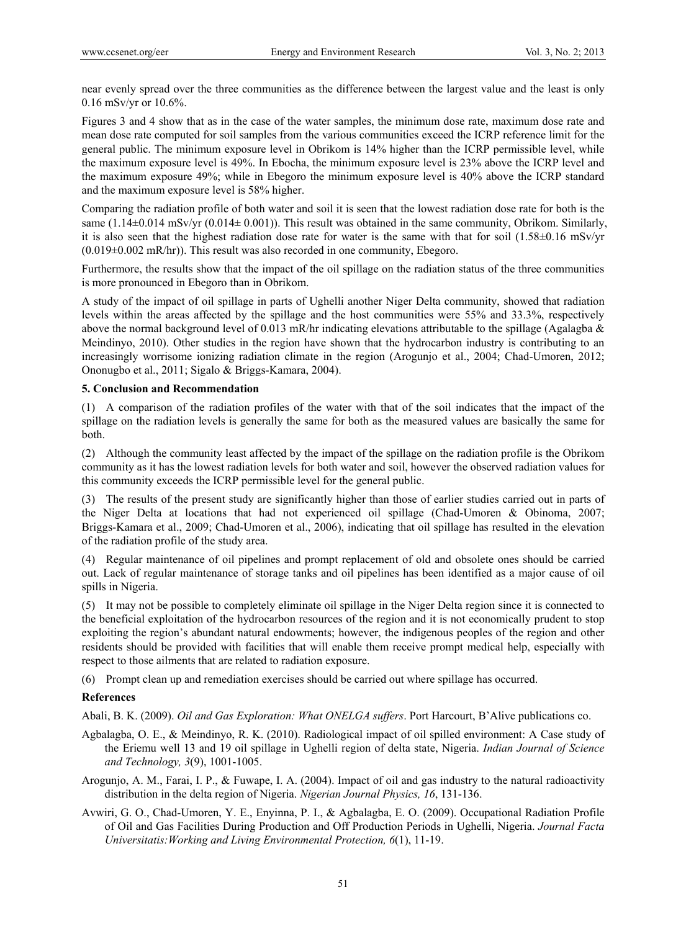near evenly spread over the three communities as the difference between the largest value and the least is only 0.16 mSv/yr or 10.6%.

Figures 3 and 4 show that as in the case of the water samples, the minimum dose rate, maximum dose rate and mean dose rate computed for soil samples from the various communities exceed the ICRP reference limit for the general public. The minimum exposure level in Obrikom is 14% higher than the ICRP permissible level, while the maximum exposure level is 49%. In Ebocha, the minimum exposure level is 23% above the ICRP level and the maximum exposure 49%; while in Ebegoro the minimum exposure level is 40% above the ICRP standard and the maximum exposure level is 58% higher.

Comparing the radiation profile of both water and soil it is seen that the lowest radiation dose rate for both is the same (1.14 $\pm$ 0.014 mSv/yr (0.014 $\pm$ 0.001)). This result was obtained in the same community, Obrikom. Similarly, it is also seen that the highest radiation dose rate for water is the same with that for soil  $(1.58\pm0.16 \text{ mSv/yr})$  $(0.019\pm0.002 \text{ mR/hr})$ . This result was also recorded in one community, Ebegoro.

Furthermore, the results show that the impact of the oil spillage on the radiation status of the three communities is more pronounced in Ebegoro than in Obrikom.

A study of the impact of oil spillage in parts of Ughelli another Niger Delta community, showed that radiation levels within the areas affected by the spillage and the host communities were 55% and 33.3%, respectively above the normal background level of 0.013 mR/hr indicating elevations attributable to the spillage (Agalagba & Meindinyo, 2010). Other studies in the region have shown that the hydrocarbon industry is contributing to an increasingly worrisome ionizing radiation climate in the region (Arogunjo et al., 2004; Chad-Umoren, 2012; Ononugbo et al., 2011; Sigalo & Briggs-Kamara, 2004).

## **5. Conclusion and Recommendation**

(1) A comparison of the radiation profiles of the water with that of the soil indicates that the impact of the spillage on the radiation levels is generally the same for both as the measured values are basically the same for both.

(2) Although the community least affected by the impact of the spillage on the radiation profile is the Obrikom community as it has the lowest radiation levels for both water and soil, however the observed radiation values for this community exceeds the ICRP permissible level for the general public.

(3) The results of the present study are significantly higher than those of earlier studies carried out in parts of the Niger Delta at locations that had not experienced oil spillage (Chad-Umoren & Obinoma, 2007; Briggs-Kamara et al., 2009; Chad-Umoren et al., 2006), indicating that oil spillage has resulted in the elevation of the radiation profile of the study area.

(4) Regular maintenance of oil pipelines and prompt replacement of old and obsolete ones should be carried out. Lack of regular maintenance of storage tanks and oil pipelines has been identified as a major cause of oil spills in Nigeria.

(5) It may not be possible to completely eliminate oil spillage in the Niger Delta region since it is connected to the beneficial exploitation of the hydrocarbon resources of the region and it is not economically prudent to stop exploiting the region's abundant natural endowments; however, the indigenous peoples of the region and other residents should be provided with facilities that will enable them receive prompt medical help, especially with respect to those ailments that are related to radiation exposure.

(6) Prompt clean up and remediation exercises should be carried out where spillage has occurred.

# **References**

Abali, B. K. (2009). *Oil and Gas Exploration: What ONELGA suffers*. Port Harcourt, B'Alive publications co.

- Agbalagba, O. E., & Meindinyo, R. K. (2010). Radiological impact of oil spilled environment: A Case study of the Eriemu well 13 and 19 oil spillage in Ughelli region of delta state, Nigeria. *Indian Journal of Science and Technology, 3*(9), 1001-1005.
- Arogunjo, A. M., Farai, I. P., & Fuwape, I. A. (2004). Impact of oil and gas industry to the natural radioactivity distribution in the delta region of Nigeria. *Nigerian Journal Physics, 16*, 131-136.
- Avwiri, G. O., Chad-Umoren, Y. E., Enyinna, P. I., & Agbalagba, E. O. (2009). Occupational Radiation Profile of Oil and Gas Facilities During Production and Off Production Periods in Ughelli, Nigeria. *Journal Facta Universitatis:Working and Living Environmental Protection, 6*(1), 11-19.